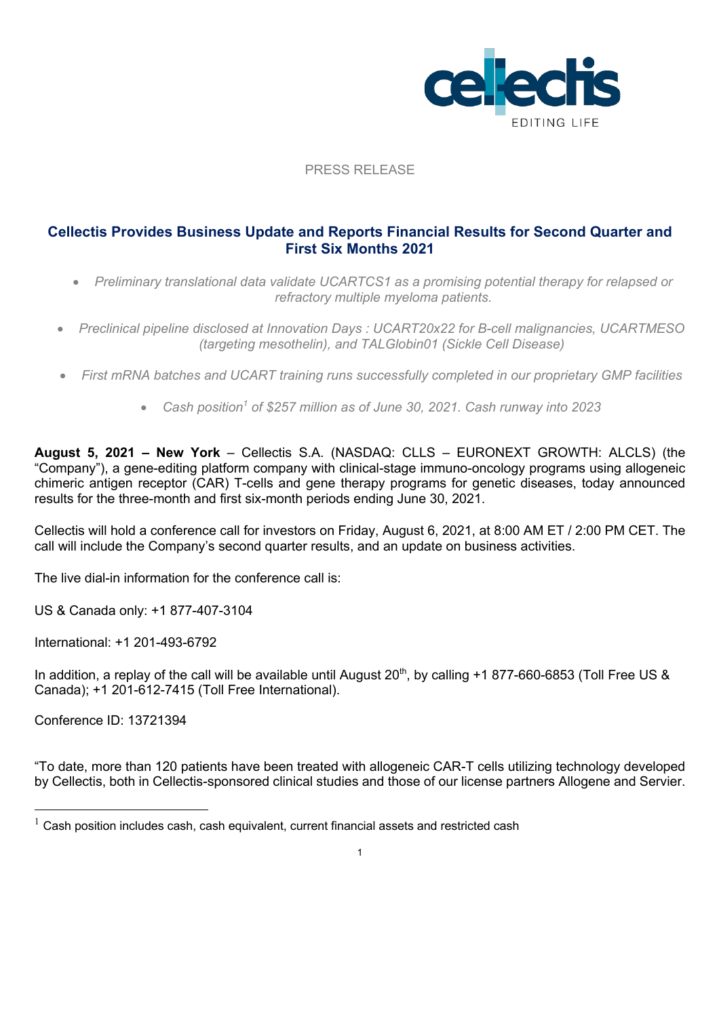

#### PRESS RELEASE

# **Cellectis Provides Business Update and Reports Financial Results for Second Quarter and First Six Months 2021**

- *Preliminary translational data validate UCARTCS1 as a promising potential therapy for relapsed or refractory multiple myeloma patients.*
- *Preclinical pipeline disclosed at Innovation Days : UCART20x22 for B-cell malignancies, UCARTMESO (targeting mesothelin), and TALGlobin01 (Sickle Cell Disease)*
- *First mRNA batches and UCART training runs successfully completed in our proprietary GMP facilities*
	- *Cash position1 of \$257 million as of June 30, 2021. Cash runway into 2023*

**August 5, 2021 – New York** – Cellectis S.A. (NASDAQ: CLLS – EURONEXT GROWTH: ALCLS) (the "Company"), a gene-editing platform company with clinical-stage immuno-oncology programs using allogeneic chimeric antigen receptor (CAR) T-cells and gene therapy programs for genetic diseases, today announced results for the three-month and first six-month periods ending June 30, 2021.

Cellectis will hold a conference call for investors on Friday, August 6, 2021, at 8:00 AM ET / 2:00 PM CET. The call will include the Company's second quarter results, and an update on business activities.

The live dial-in information for the conference call is:

US & Canada only: +1 877-407-3104

International: +1 201-493-6792

In addition, a replay of the call will be available until August  $20^{th}$ , by calling +1 877-660-6853 (Toll Free US & Canada); +1 201-612-7415 (Toll Free International).

Conference ID: 13721394

"To date, more than 120 patients have been treated with allogeneic CAR-T cells utilizing technology developed by Cellectis, both in Cellectis-sponsored clinical studies and those of our license partners Allogene and Servier.

 $1$  Cash position includes cash, cash equivalent, current financial assets and restricted cash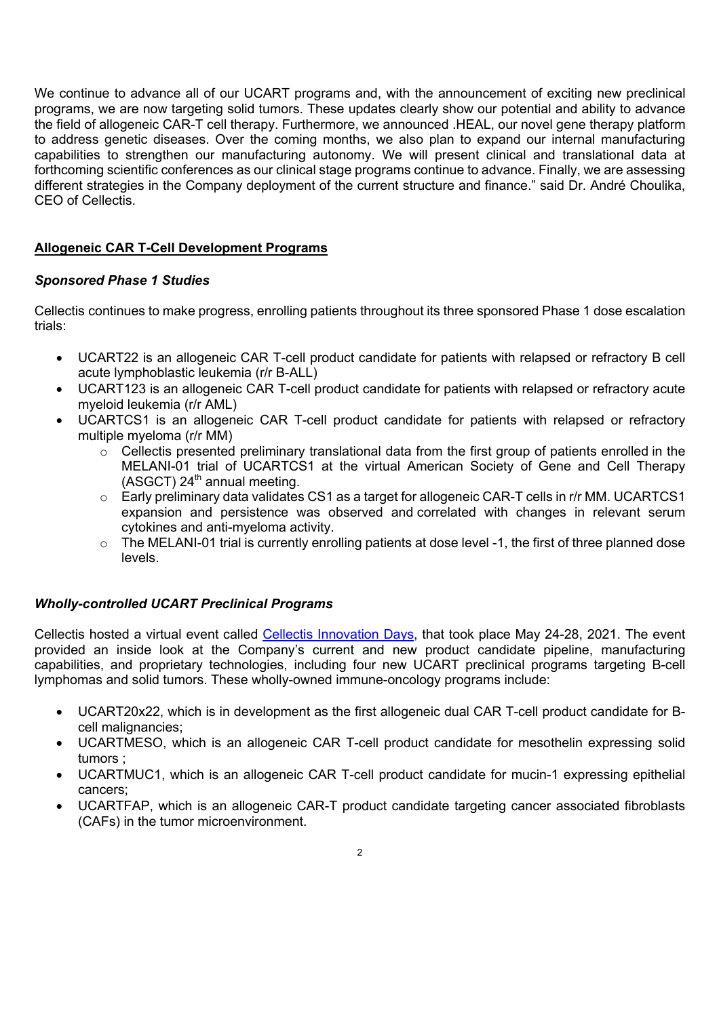We continue to advance all of our UCART programs and, with the announcement of exciting new preclinical programs, we are now targeting solid tumors. These updates clearly show our potential and ability to advance the field of allogeneic CAR-T cell therapy. Furthermore, we announced .HEAL, our novel gene therapy platform to address genetic diseases. Over the coming months, we also plan to expand our internal manufacturing capabilities to strengthen our manufacturing autonomy. We will present clinical and translational data at forthcoming scientific conferences as our clinical stage programs continue to advance. Finally, we are assessing different strategies in the Company deployment of the current structure and finance." said Dr. André Choulika, CEO of Cellectis.

# **Allogeneic CAR T-Cell Development Programs**

# *Sponsored Phase 1 Studies*

Cellectis continues to make progress, enrolling patients throughout its three sponsored Phase 1 dose escalation trials:

- UCART22 is an allogeneic CAR T-cell product candidate for patients with relapsed or refractory B cell acute lymphoblastic leukemia (r/r B-ALL)
- UCART123 is an allogeneic CAR T-cell product candidate for patients with relapsed or refractory acute myeloid leukemia (r/r AML)
- UCARTCS1 is an allogeneic CAR T-cell product candidate for patients with relapsed or refractory multiple myeloma (r/r MM)
	- $\circ$  Cellectis presented preliminary translational data from the first group of patients enrolled in the MELANI-01 trial of UCARTCS1 at the virtual American Society of Gene and Cell Therapy  $(ASGCT)$  24<sup>th</sup> annual meeting.
	- o Early preliminary data validates CS1 as a target for allogeneic CAR-T cells in r/r MM. UCARTCS1 expansion and persistence was observed and correlated with changes in relevant serum cytokines and anti-myeloma activity.
	- o The MELANI-01 trial is currently enrolling patients at dose level -1, the first of three planned dose levels.

# *Wholly-controlled UCART Preclinical Programs*

Cellectis hosted a virtual event called Cellectis Innovation Days, that took place May 24-28, 2021. The event provided an inside look at the Company's current and new product candidate pipeline, manufacturing capabilities, and proprietary technologies, including four new UCART preclinical programs targeting B-cell lymphomas and solid tumors. These wholly-owned immune-oncology programs include:

- UCART20x22, which is in development as the first allogeneic dual CAR T-cell product candidate for Bcell malignancies;
- UCARTMESO, which is an allogeneic CAR T-cell product candidate for mesothelin expressing solid tumors ;
- UCARTMUC1, which is an allogeneic CAR T-cell product candidate for mucin-1 expressing epithelial cancers;
- UCARTFAP, which is an allogeneic CAR-T product candidate targeting cancer associated fibroblasts (CAFs) in the tumor microenvironment.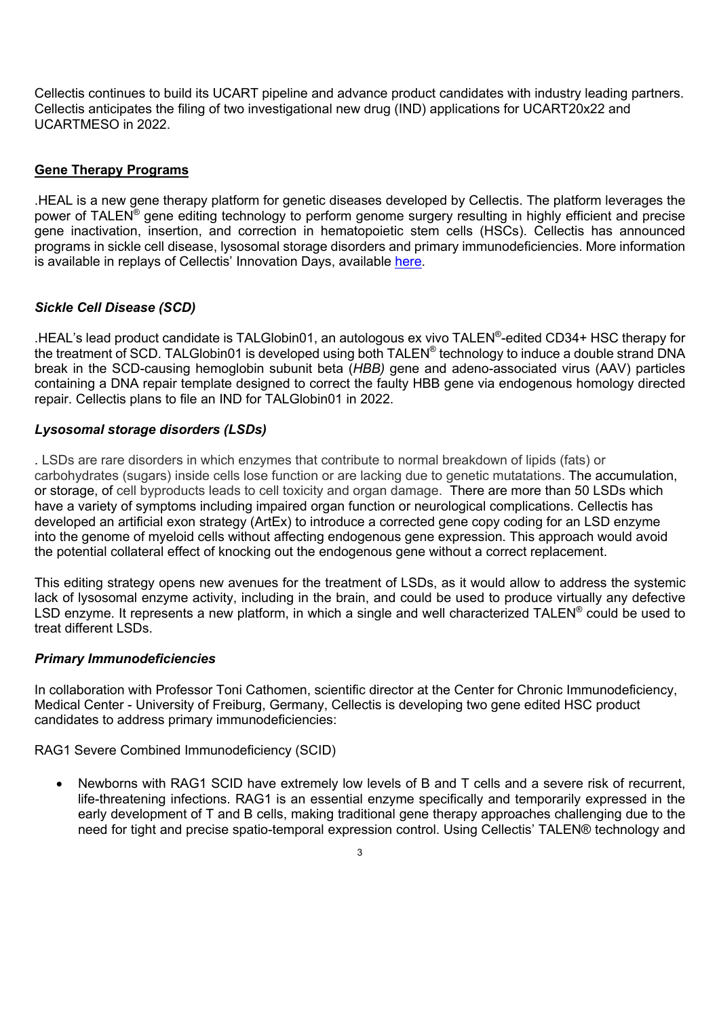Cellectis continues to build its UCART pipeline and advance product candidates with industry leading partners. Cellectis anticipates the filing of two investigational new drug (IND) applications for UCART20x22 and UCARTMESO in 2022.

## **Gene Therapy Programs**

.HEAL is a new gene therapy platform for genetic diseases developed by Cellectis. The platform leverages the power of TALEN® gene editing technology to perform genome surgery resulting in highly efficient and precise gene inactivation, insertion, and correction in hematopoietic stem cells (HSCs). Cellectis has announced programs in sickle cell disease, lysosomal storage disorders and primary immunodeficiencies. More information is available in replays of Cellectis' Innovation Days, available here.

# *Sickle Cell Disease (SCD)*

.HEAL's lead product candidate is TALGlobin01, an autologous ex vivo TALEN®-edited CD34+ HSC therapy for the treatment of SCD. TALGlobin01 is developed using both TALEN® technology to induce a double strand DNA break in the SCD-causing hemoglobin subunit beta (*HBB)* gene and adeno-associated virus (AAV) particles containing a DNA repair template designed to correct the faulty HBB gene via endogenous homology directed repair. Cellectis plans to file an IND for TALGlobin01 in 2022.

## *Lysosomal storage disorders (LSDs)*

. LSDs are rare disorders in which enzymes that contribute to normal breakdown of lipids (fats) or carbohydrates (sugars) inside cells lose function or are lacking due to genetic mutatations. The accumulation, or storage, of cell byproducts leads to cell toxicity and organ damage. There are more than 50 LSDs which have a variety of symptoms including impaired organ function or neurological complications. Cellectis has developed an artificial exon strategy (ArtEx) to introduce a corrected gene copy coding for an LSD enzyme into the genome of myeloid cells without affecting endogenous gene expression. This approach would avoid the potential collateral effect of knocking out the endogenous gene without a correct replacement.

This editing strategy opens new avenues for the treatment of LSDs, as it would allow to address the systemic lack of lysosomal enzyme activity, including in the brain, and could be used to produce virtually any defective LSD enzyme. It represents a new platform, in which a single and well characterized TALEN® could be used to treat different LSDs.

## *Primary Immunodeficiencies*

In collaboration with Professor Toni Cathomen, scientific director at the Center for Chronic Immunodeficiency, Medical Center - University of Freiburg, Germany, Cellectis is developing two gene edited HSC product candidates to address primary immunodeficiencies:

RAG1 Severe Combined Immunodeficiency (SCID)

• Newborns with RAG1 SCID have extremely low levels of B and T cells and a severe risk of recurrent, life-threatening infections. RAG1 is an essential enzyme specifically and temporarily expressed in the early development of T and B cells, making traditional gene therapy approaches challenging due to the need for tight and precise spatio-temporal expression control. Using Cellectis' TALEN® technology and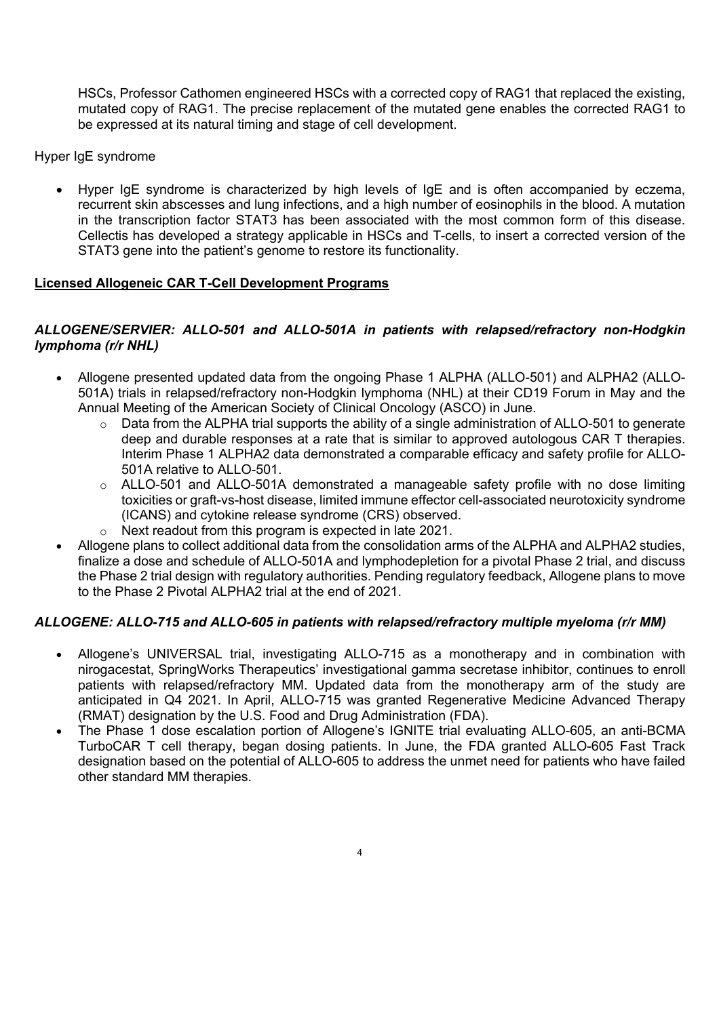HSCs, Professor Cathomen engineered HSCs with a corrected copy of RAG1 that replaced the existing, mutated copy of RAG1. The precise replacement of the mutated gene enables the corrected RAG1 to be expressed at its natural timing and stage of cell development.

Hyper IgE syndrome

• Hyper IgE syndrome is characterized by high levels of IgE and is often accompanied by eczema, recurrent skin abscesses and lung infections, and a high number of eosinophils in the blood. A mutation in the transcription factor STAT3 has been associated with the most common form of this disease. Cellectis has developed a strategy applicable in HSCs and T-cells, to insert a corrected version of the STAT3 gene into the patient's genome to restore its functionality.

## **Licensed Allogeneic CAR T-Cell Development Programs**

# *ALLOGENE/SERVIER: ALLO-501 and ALLO-501A in patients with relapsed/refractory non-Hodgkin lymphoma (r/r NHL)*

- Allogene presented updated data from the ongoing Phase 1 ALPHA (ALLO-501) and ALPHA2 (ALLO-501A) trials in relapsed/refractory non-Hodgkin lymphoma (NHL) at their CD19 Forum in May and the Annual Meeting of the American Society of Clinical Oncology (ASCO) in June.
	- $\circ$  Data from the ALPHA trial supports the ability of a single administration of ALLO-501 to generate deep and durable responses at a rate that is similar to approved autologous CAR T therapies. Interim Phase 1 ALPHA2 data demonstrated a comparable efficacy and safety profile for ALLO-501A relative to ALLO-501.
	- $\circ$  ALLO-501 and ALLO-501A demonstrated a manageable safety profile with no dose limiting toxicities or graft-vs-host disease, limited immune effector cell-associated neurotoxicity syndrome (ICANS) and cytokine release syndrome (CRS) observed.
	- o Next readout from this program is expected in late 2021.
- Allogene plans to collect additional data from the consolidation arms of the ALPHA and ALPHA2 studies, finalize a dose and schedule of ALLO-501A and lymphodepletion for a pivotal Phase 2 trial, and discuss the Phase 2 trial design with regulatory authorities. Pending regulatory feedback, Allogene plans to move to the Phase 2 Pivotal ALPHA2 trial at the end of 2021.

## *ALLOGENE: ALLO-715 and ALLO-605 in patients with relapsed/refractory multiple myeloma (r/r MM)*

- Allogene's UNIVERSAL trial, investigating ALLO-715 as a monotherapy and in combination with nirogacestat, SpringWorks Therapeutics' investigational gamma secretase inhibitor, continues to enroll patients with relapsed/refractory MM. Updated data from the monotherapy arm of the study are anticipated in Q4 2021. In April, ALLO-715 was granted Regenerative Medicine Advanced Therapy (RMAT) designation by the U.S. Food and Drug Administration (FDA).
- The Phase 1 dose escalation portion of Allogene's IGNITE trial evaluating ALLO-605, an anti-BCMA TurboCAR T cell therapy, began dosing patients. In June, the FDA granted ALLO-605 Fast Track designation based on the potential of ALLO-605 to address the unmet need for patients who have failed other standard MM therapies.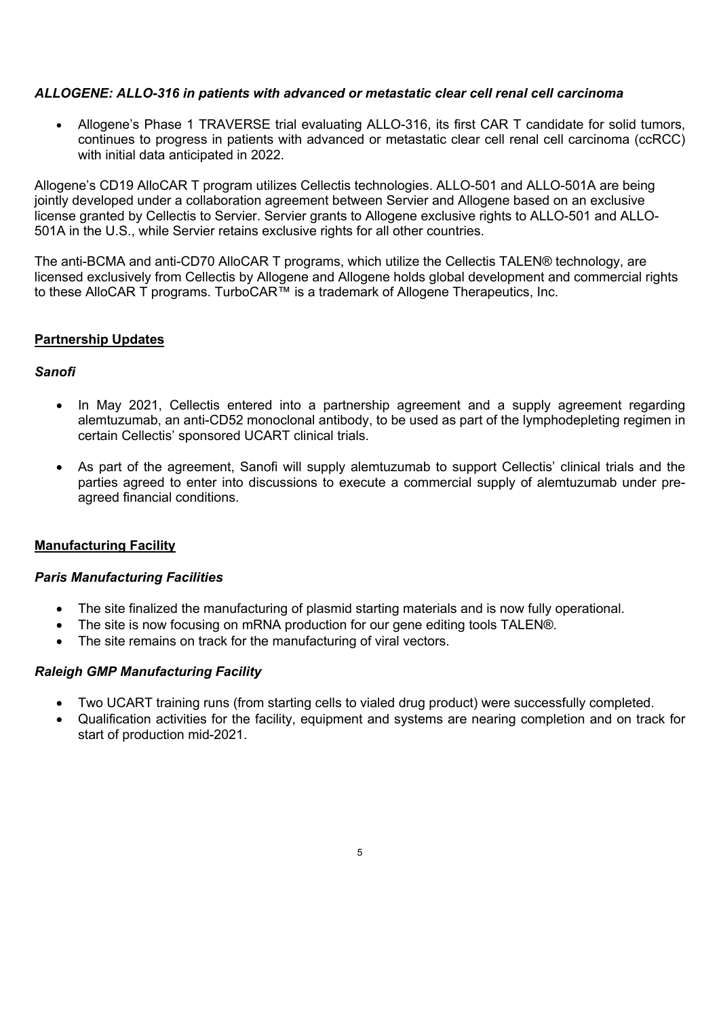## *ALLOGENE: ALLO-316 in patients with advanced or metastatic clear cell renal cell carcinoma*

• Allogene's Phase 1 TRAVERSE trial evaluating ALLO-316, its first CAR T candidate for solid tumors, continues to progress in patients with advanced or metastatic clear cell renal cell carcinoma (ccRCC) with initial data anticipated in 2022.

Allogene's CD19 AlloCAR T program utilizes Cellectis technologies. ALLO-501 and ALLO-501A are being jointly developed under a collaboration agreement between Servier and Allogene based on an exclusive license granted by Cellectis to Servier. Servier grants to Allogene exclusive rights to ALLO-501 and ALLO-501A in the U.S., while Servier retains exclusive rights for all other countries.

The anti-BCMA and anti-CD70 AlloCAR T programs, which utilize the Cellectis TALEN® technology, are licensed exclusively from Cellectis by Allogene and Allogene holds global development and commercial rights to these AlloCAR T programs. TurboCAR™ is a trademark of Allogene Therapeutics, Inc.

### **Partnership Updates**

### *Sanofi*

- In May 2021, Cellectis entered into a partnership agreement and a supply agreement regarding alemtuzumab, an anti-CD52 monoclonal antibody, to be used as part of the lymphodepleting regimen in certain Cellectis' sponsored UCART clinical trials.
- As part of the agreement, Sanofi will supply alemtuzumab to support Cellectis' clinical trials and the parties agreed to enter into discussions to execute a commercial supply of alemtuzumab under preagreed financial conditions.

#### **Manufacturing Facility**

#### *Paris Manufacturing Facilities*

- The site finalized the manufacturing of plasmid starting materials and is now fully operational.
- The site is now focusing on mRNA production for our gene editing tools TALEN®.
- The site remains on track for the manufacturing of viral vectors.

#### *Raleigh GMP Manufacturing Facility*

- Two UCART training runs (from starting cells to vialed drug product) were successfully completed.
- Qualification activities for the facility, equipment and systems are nearing completion and on track for start of production mid-2021.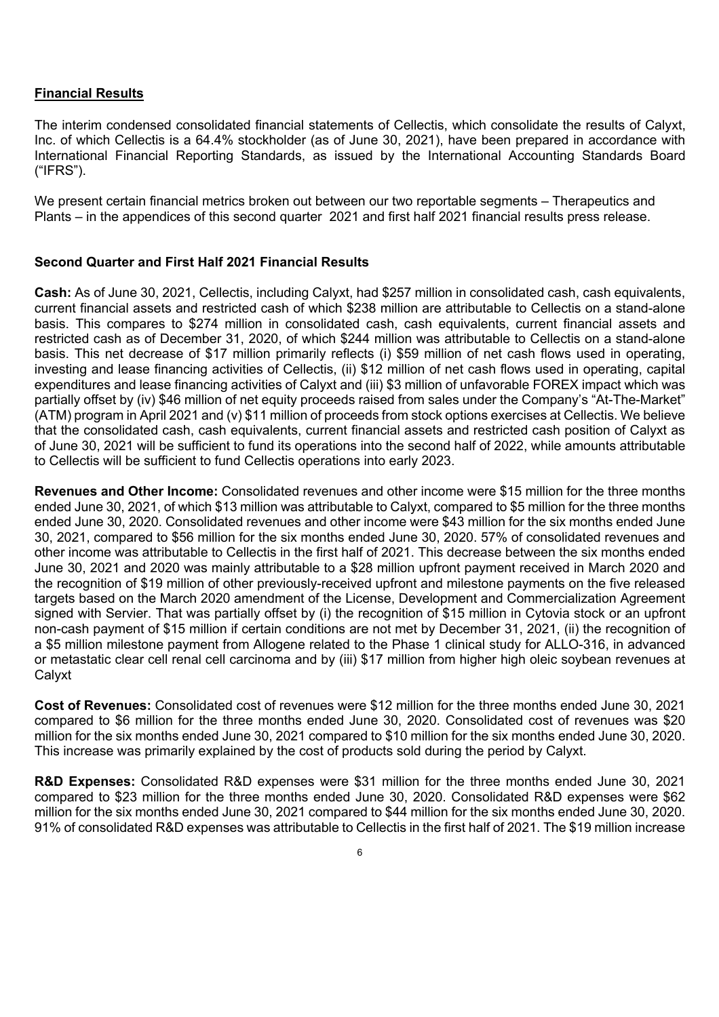## **Financial Results**

The interim condensed consolidated financial statements of Cellectis, which consolidate the results of Calyxt, Inc. of which Cellectis is a 64.4% stockholder (as of June 30, 2021), have been prepared in accordance with International Financial Reporting Standards, as issued by the International Accounting Standards Board ("IFRS").

We present certain financial metrics broken out between our two reportable segments – Therapeutics and Plants – in the appendices of this second quarter 2021 and first half 2021 financial results press release.

### **Second Quarter and First Half 2021 Financial Results**

**Cash:** As of June 30, 2021, Cellectis, including Calyxt, had \$257 million in consolidated cash, cash equivalents, current financial assets and restricted cash of which \$238 million are attributable to Cellectis on a stand-alone basis. This compares to \$274 million in consolidated cash, cash equivalents, current financial assets and restricted cash as of December 31, 2020, of which \$244 million was attributable to Cellectis on a stand-alone basis. This net decrease of \$17 million primarily reflects (i) \$59 million of net cash flows used in operating, investing and lease financing activities of Cellectis, (ii) \$12 million of net cash flows used in operating, capital expenditures and lease financing activities of Calyxt and (iii) \$3 million of unfavorable FOREX impact which was partially offset by (iv) \$46 million of net equity proceeds raised from sales under the Company's "At-The-Market" (ATM) program in April 2021 and (v) \$11 million of proceeds from stock options exercises at Cellectis. We believe that the consolidated cash, cash equivalents, current financial assets and restricted cash position of Calyxt as of June 30, 2021 will be sufficient to fund its operations into the second half of 2022, while amounts attributable to Cellectis will be sufficient to fund Cellectis operations into early 2023.

**Revenues and Other Income:** Consolidated revenues and other income were \$15 million for the three months ended June 30, 2021, of which \$13 million was attributable to Calyxt, compared to \$5 million for the three months ended June 30, 2020. Consolidated revenues and other income were \$43 million for the six months ended June 30, 2021, compared to \$56 million for the six months ended June 30, 2020. 57% of consolidated revenues and other income was attributable to Cellectis in the first half of 2021. This decrease between the six months ended June 30, 2021 and 2020 was mainly attributable to a \$28 million upfront payment received in March 2020 and the recognition of \$19 million of other previously-received upfront and milestone payments on the five released targets based on the March 2020 amendment of the License, Development and Commercialization Agreement signed with Servier. That was partially offset by (i) the recognition of \$15 million in Cytovia stock or an upfront non-cash payment of \$15 million if certain conditions are not met by December 31, 2021, (ii) the recognition of a \$5 million milestone payment from Allogene related to the Phase 1 clinical study for ALLO-316, in advanced or metastatic clear cell renal cell carcinoma and by (iii) \$17 million from higher high oleic soybean revenues at **Calyxt** 

**Cost of Revenues:** Consolidated cost of revenues were \$12 million for the three months ended June 30, 2021 compared to \$6 million for the three months ended June 30, 2020. Consolidated cost of revenues was \$20 million for the six months ended June 30, 2021 compared to \$10 million for the six months ended June 30, 2020. This increase was primarily explained by the cost of products sold during the period by Calyxt.

**R&D Expenses:** Consolidated R&D expenses were \$31 million for the three months ended June 30, 2021 compared to \$23 million for the three months ended June 30, 2020. Consolidated R&D expenses were \$62 million for the six months ended June 30, 2021 compared to \$44 million for the six months ended June 30, 2020. 91% of consolidated R&D expenses was attributable to Cellectis in the first half of 2021. The \$19 million increase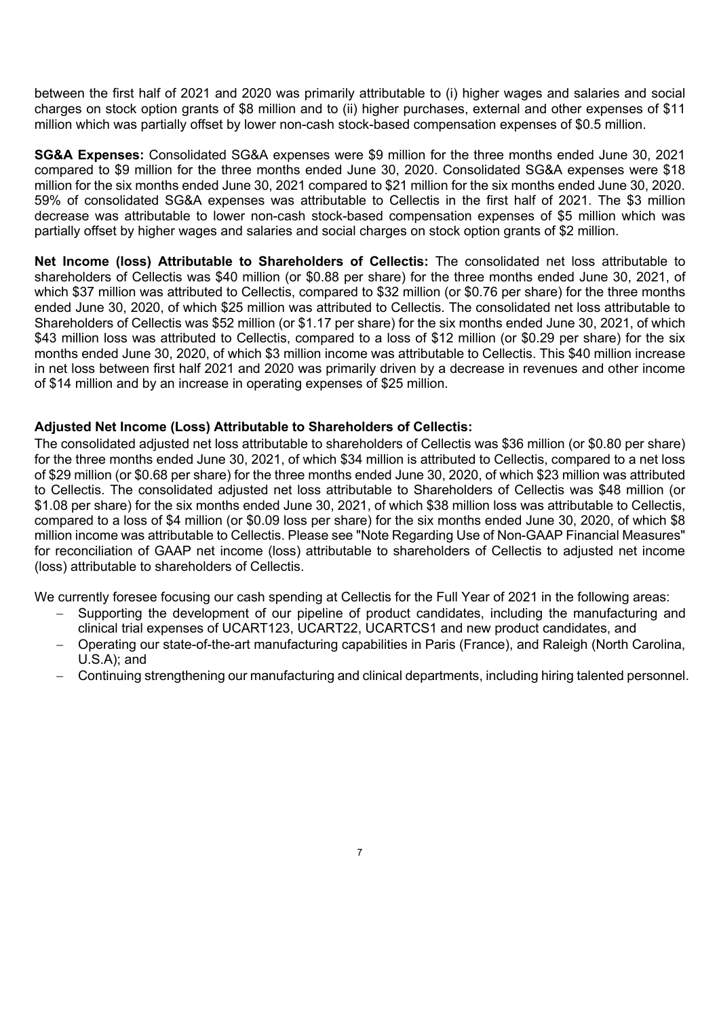between the first half of 2021 and 2020 was primarily attributable to (i) higher wages and salaries and social charges on stock option grants of \$8 million and to (ii) higher purchases, external and other expenses of \$11 million which was partially offset by lower non-cash stock-based compensation expenses of \$0.5 million.

**SG&A Expenses:** Consolidated SG&A expenses were \$9 million for the three months ended June 30, 2021 compared to \$9 million for the three months ended June 30, 2020. Consolidated SG&A expenses were \$18 million for the six months ended June 30, 2021 compared to \$21 million for the six months ended June 30, 2020. 59% of consolidated SG&A expenses was attributable to Cellectis in the first half of 2021. The \$3 million decrease was attributable to lower non-cash stock-based compensation expenses of \$5 million which was partially offset by higher wages and salaries and social charges on stock option grants of \$2 million.

**Net Income (loss) Attributable to Shareholders of Cellectis:** The consolidated net loss attributable to shareholders of Cellectis was \$40 million (or \$0.88 per share) for the three months ended June 30, 2021, of which \$37 million was attributed to Cellectis, compared to \$32 million (or \$0.76 per share) for the three months ended June 30, 2020, of which \$25 million was attributed to Cellectis. The consolidated net loss attributable to Shareholders of Cellectis was \$52 million (or \$1.17 per share) for the six months ended June 30, 2021, of which \$43 million loss was attributed to Cellectis, compared to a loss of \$12 million (or \$0.29 per share) for the six months ended June 30, 2020, of which \$3 million income was attributable to Cellectis. This \$40 million increase in net loss between first half 2021 and 2020 was primarily driven by a decrease in revenues and other income of \$14 million and by an increase in operating expenses of \$25 million.

## **Adjusted Net Income (Loss) Attributable to Shareholders of Cellectis:**

The consolidated adjusted net loss attributable to shareholders of Cellectis was \$36 million (or \$0.80 per share) for the three months ended June 30, 2021, of which \$34 million is attributed to Cellectis, compared to a net loss of \$29 million (or \$0.68 per share) for the three months ended June 30, 2020, of which \$23 million was attributed to Cellectis. The consolidated adjusted net loss attributable to Shareholders of Cellectis was \$48 million (or \$1.08 per share) for the six months ended June 30, 2021, of which \$38 million loss was attributable to Cellectis, compared to a loss of \$4 million (or \$0.09 loss per share) for the six months ended June 30, 2020, of which \$8 million income was attributable to Cellectis. Please see "Note Regarding Use of Non-GAAP Financial Measures" for reconciliation of GAAP net income (loss) attributable to shareholders of Cellectis to adjusted net income (loss) attributable to shareholders of Cellectis.

We currently foresee focusing our cash spending at Cellectis for the Full Year of 2021 in the following areas:

- Supporting the development of our pipeline of product candidates, including the manufacturing and clinical trial expenses of UCART123, UCART22, UCARTCS1 and new product candidates, and
- Operating our state-of-the-art manufacturing capabilities in Paris (France), and Raleigh (North Carolina, U.S.A); and
- Continuing strengthening our manufacturing and clinical departments, including hiring talented personnel.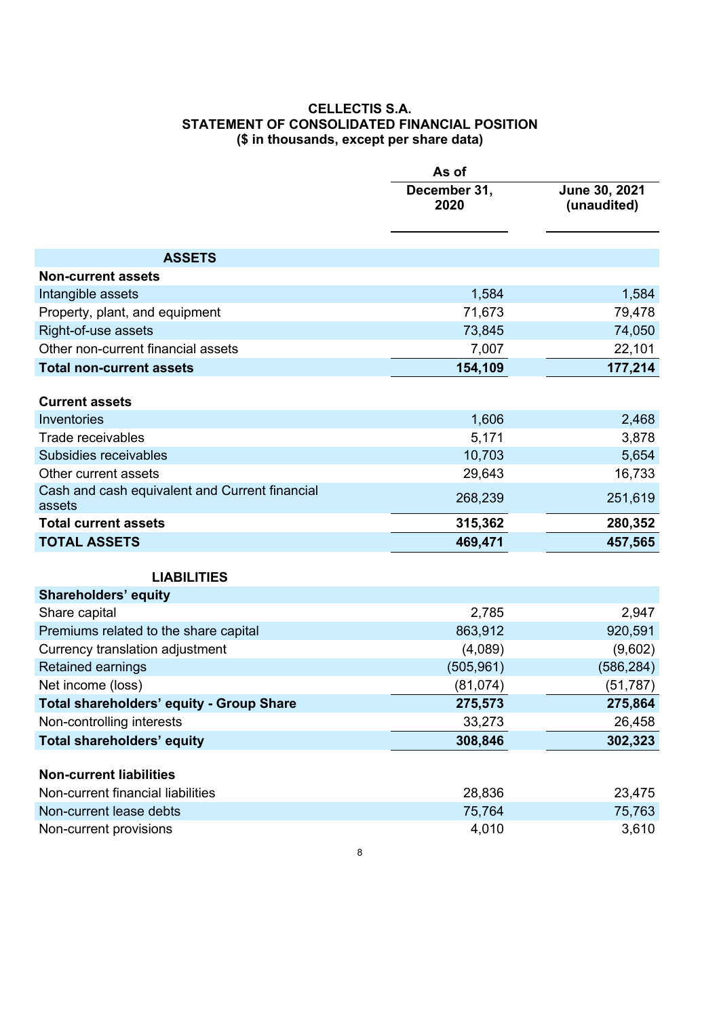# **CELLECTIS S.A. STATEMENT OF CONSOLIDATED FINANCIAL POSITION (\$ in thousands, except per share data)**

|                                                          | As of                |                              |
|----------------------------------------------------------|----------------------|------------------------------|
|                                                          | December 31,<br>2020 | June 30, 2021<br>(unaudited) |
| <b>ASSETS</b>                                            |                      |                              |
| <b>Non-current assets</b>                                |                      |                              |
| Intangible assets                                        | 1,584                | 1,584                        |
| Property, plant, and equipment                           | 71,673               | 79,478                       |
| Right-of-use assets                                      | 73,845               | 74,050                       |
| Other non-current financial assets                       | 7,007                | 22,101                       |
| <b>Total non-current assets</b>                          | 154,109              | 177,214                      |
| <b>Current assets</b>                                    |                      |                              |
| <b>Inventories</b>                                       | 1,606                | 2,468                        |
| Trade receivables                                        | 5,171                | 3,878                        |
| Subsidies receivables                                    | 10,703               | 5,654                        |
| Other current assets                                     | 29,643               | 16,733                       |
| Cash and cash equivalent and Current financial<br>assets | 268,239              | 251,619                      |
| <b>Total current assets</b>                              | 315,362              | 280,352                      |
| <b>TOTAL ASSETS</b>                                      | 469,471              | 457,565                      |
| <b>LIABILITIES</b>                                       |                      |                              |
| <b>Shareholders' equity</b>                              |                      |                              |
| Share capital                                            | 2,785                | 2,947                        |
| Premiums related to the share capital                    | 863,912              | 920,591                      |
| Currency translation adjustment                          | (4,089)              | (9,602)                      |
| Retained earnings                                        | (505, 961)           | (586, 284)                   |
| Net income (loss)                                        | (81, 074)            | (51, 787)                    |
| <b>Total shareholders' equity - Group Share</b>          | 275,573              | 275,864                      |
| Non-controlling interests                                | 33,273               | 26,458                       |
| <b>Total shareholders' equity</b>                        | 308,846              | 302,323                      |
| <b>Non-current liabilities</b>                           |                      |                              |
| Non-current financial liabilities                        | 28,836               | 23,475                       |
| Non-current lease debts                                  | 75,764               | 75,763                       |
| Non-current provisions                                   | 4,010                | 3,610                        |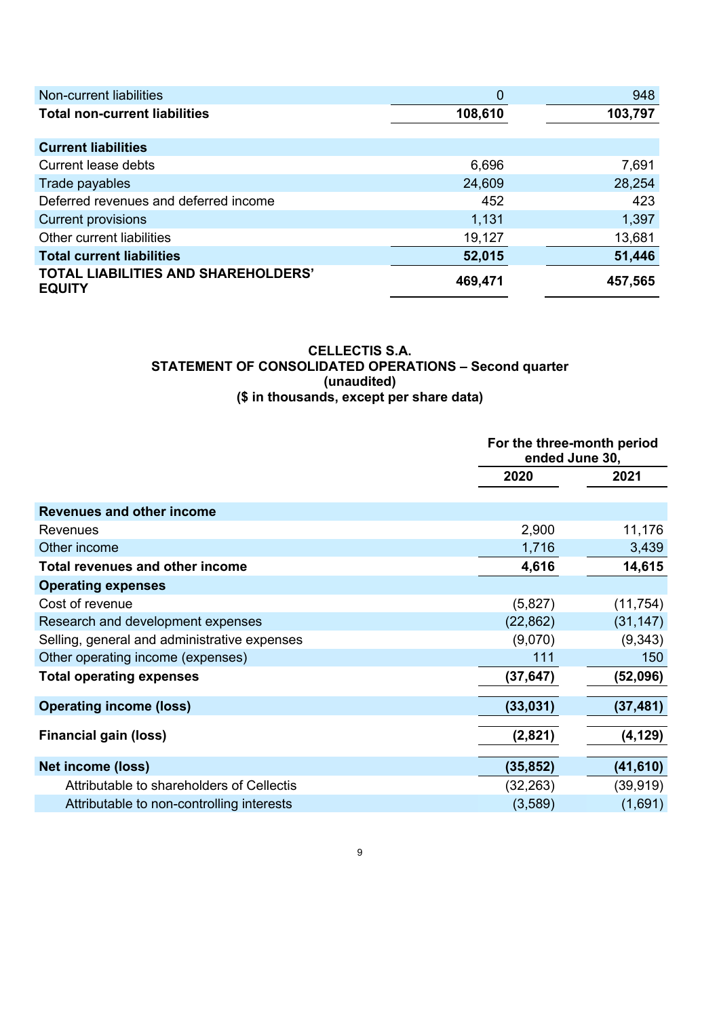| Non-current liabilities                                     | 0       | 948     |
|-------------------------------------------------------------|---------|---------|
| <b>Total non-current liabilities</b>                        | 108,610 | 103,797 |
|                                                             |         |         |
| <b>Current liabilities</b>                                  |         |         |
| <b>Current lease debts</b>                                  | 6,696   | 7,691   |
| Trade payables                                              | 24,609  | 28,254  |
| Deferred revenues and deferred income                       | 452     | 423     |
| <b>Current provisions</b>                                   | 1,131   | 1,397   |
| Other current liabilities                                   | 19,127  | 13,681  |
| <b>Total current liabilities</b>                            | 52,015  | 51,446  |
| <b>TOTAL LIABILITIES AND SHAREHOLDERS'</b><br><b>EQUITY</b> | 469,471 | 457,565 |

## **CELLECTIS S.A. STATEMENT OF CONSOLIDATED OPERATIONS – Second quarter (unaudited) (\$ in thousands, except per share data)**

|                                              |           | For the three-month period<br>ended June 30, |  |  |
|----------------------------------------------|-----------|----------------------------------------------|--|--|
|                                              | 2020      | 2021                                         |  |  |
| <b>Revenues and other income</b>             |           |                                              |  |  |
| Revenues                                     | 2,900     | 11,176                                       |  |  |
| Other income                                 | 1,716     | 3,439                                        |  |  |
| <b>Total revenues and other income</b>       | 4,616     | 14,615                                       |  |  |
| <b>Operating expenses</b>                    |           |                                              |  |  |
| Cost of revenue                              | (5,827)   | (11, 754)                                    |  |  |
| Research and development expenses            | (22, 862) | (31, 147)                                    |  |  |
| Selling, general and administrative expenses | (9,070)   | (9, 343)                                     |  |  |
| Other operating income (expenses)            | 111       | 150                                          |  |  |
| <b>Total operating expenses</b>              | (37, 647) | (52,096)                                     |  |  |
| <b>Operating income (loss)</b>               | (33, 031) | (37, 481)                                    |  |  |
| <b>Financial gain (loss)</b>                 | (2,821)   | (4,129)                                      |  |  |
| <b>Net income (loss)</b>                     | (35, 852) | (41, 610)                                    |  |  |
| Attributable to shareholders of Cellectis    | (32, 263) | (39, 919)                                    |  |  |
| Attributable to non-controlling interests    | (3,589)   | (1,691)                                      |  |  |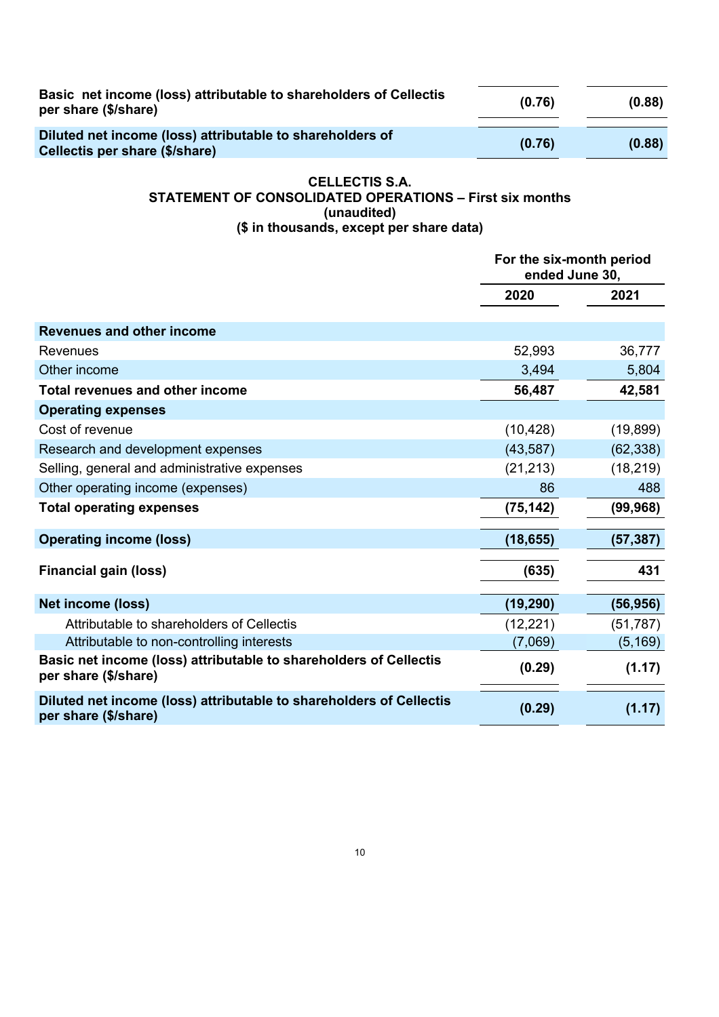| Basic net income (loss) attributable to shareholders of Cellectis<br>per share (\$/share)   | (0.76) | (0.88) |
|---------------------------------------------------------------------------------------------|--------|--------|
| Diluted net income (loss) attributable to shareholders of<br>Cellectis per share (\$/share) | (0.76) | (0.88) |

## **CELLECTIS S.A. STATEMENT OF CONSOLIDATED OPERATIONS – First six months (unaudited) (\$ in thousands, except per share data)**

|                                                                                             | For the six-month period<br>ended June 30, |           |
|---------------------------------------------------------------------------------------------|--------------------------------------------|-----------|
|                                                                                             | 2020                                       | 2021      |
|                                                                                             |                                            |           |
| <b>Revenues and other income</b>                                                            |                                            |           |
| Revenues                                                                                    | 52,993                                     | 36,777    |
| Other income                                                                                | 3,494                                      | 5,804     |
| <b>Total revenues and other income</b>                                                      | 56,487                                     | 42,581    |
| <b>Operating expenses</b>                                                                   |                                            |           |
| Cost of revenue                                                                             | (10, 428)                                  | (19, 899) |
| Research and development expenses                                                           | (43, 587)                                  | (62, 338) |
| Selling, general and administrative expenses                                                | (21, 213)                                  | (18, 219) |
| Other operating income (expenses)                                                           | 86                                         | 488       |
| <b>Total operating expenses</b>                                                             | (75, 142)                                  | (99, 968) |
| <b>Operating income (loss)</b>                                                              | (18, 655)                                  | (57, 387) |
| <b>Financial gain (loss)</b>                                                                | (635)                                      | 431       |
| <b>Net income (loss)</b>                                                                    | (19, 290)                                  | (56, 956) |
| Attributable to shareholders of Cellectis                                                   | (12, 221)                                  | (51, 787) |
| Attributable to non-controlling interests                                                   | (7,069)                                    | (5, 169)  |
| Basic net income (loss) attributable to shareholders of Cellectis<br>per share (\$/share)   | (0.29)                                     | (1.17)    |
| Diluted net income (loss) attributable to shareholders of Cellectis<br>per share (\$/share) | (0.29)                                     | (1.17)    |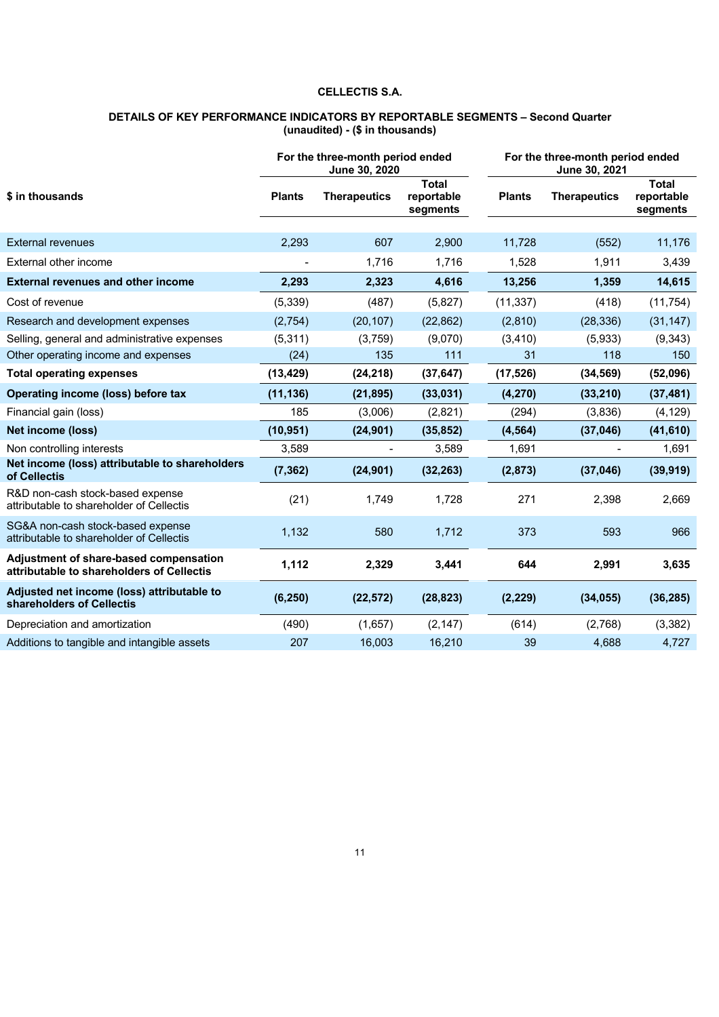#### **CELLECTIS S.A.**

#### **DETAILS OF KEY PERFORMANCE INDICATORS BY REPORTABLE SEGMENTS – Second Quarter (unaudited) - (\$ in thousands)**

|                                                                                     | For the three-month period ended<br>June 30, 2020 |                     |                                        | For the three-month period ended<br>June 30, 2021 |                     |                                 |
|-------------------------------------------------------------------------------------|---------------------------------------------------|---------------------|----------------------------------------|---------------------------------------------------|---------------------|---------------------------------|
| \$ in thousands                                                                     | <b>Plants</b>                                     | <b>Therapeutics</b> | <b>Total</b><br>reportable<br>segments | <b>Plants</b>                                     | <b>Therapeutics</b> | Total<br>reportable<br>segments |
| <b>External revenues</b>                                                            | 2,293                                             | 607                 | 2,900                                  | 11,728                                            | (552)               | 11,176                          |
| External other income                                                               |                                                   | 1,716               | 1,716                                  | 1,528                                             | 1,911               | 3,439                           |
| <b>External revenues and other income</b>                                           | 2,293                                             | 2,323               | 4,616                                  | 13,256                                            | 1,359               | 14,615                          |
| Cost of revenue                                                                     | (5, 339)                                          | (487)               | (5,827)                                | (11, 337)                                         | (418)               | (11, 754)                       |
| Research and development expenses                                                   | (2,754)                                           | (20, 107)           | (22, 862)                              | (2,810)                                           | (28, 336)           | (31, 147)                       |
| Selling, general and administrative expenses                                        | (5, 311)                                          | (3,759)             | (9,070)                                | (3, 410)                                          | (5,933)             | (9, 343)                        |
| Other operating income and expenses                                                 | (24)                                              | 135                 | 111                                    | 31                                                | 118                 | 150                             |
| <b>Total operating expenses</b>                                                     | (13, 429)                                         | (24, 218)           | (37, 647)                              | (17, 526)                                         | (34, 569)           | (52,096)                        |
| Operating income (loss) before tax                                                  | (11, 136)                                         | (21, 895)           | (33,031)                               | (4, 270)                                          | (33, 210)           | (37, 481)                       |
| Financial gain (loss)                                                               | 185                                               | (3,006)             | (2,821)                                | (294)                                             | (3,836)             | (4, 129)                        |
| Net income (loss)                                                                   | (10, 951)                                         | (24, 901)           | (35, 852)                              | (4, 564)                                          | (37, 046)           | (41, 610)                       |
| Non controlling interests                                                           | 3,589                                             |                     | 3,589                                  | 1,691                                             |                     | 1,691                           |
| Net income (loss) attributable to shareholders<br>of Cellectis                      | (7, 362)                                          | (24, 901)           | (32, 263)                              | (2, 873)                                          | (37, 046)           | (39, 919)                       |
| R&D non-cash stock-based expense<br>attributable to shareholder of Cellectis        | (21)                                              | 1,749               | 1,728                                  | 271                                               | 2,398               | 2,669                           |
| SG&A non-cash stock-based expense<br>attributable to shareholder of Cellectis       | 1,132                                             | 580                 | 1,712                                  | 373                                               | 593                 | 966                             |
| Adjustment of share-based compensation<br>attributable to shareholders of Cellectis | 1,112                                             | 2,329               | 3,441                                  | 644                                               | 2,991               | 3,635                           |
| Adjusted net income (loss) attributable to<br>shareholders of Cellectis             | (6, 250)                                          | (22, 572)           | (28, 823)                              | (2, 229)                                          | (34, 055)           | (36, 285)                       |
| Depreciation and amortization                                                       | (490)                                             | (1,657)             | (2, 147)                               | (614)                                             | (2,768)             | (3, 382)                        |
| Additions to tangible and intangible assets                                         | 207                                               | 16,003              | 16,210                                 | 39                                                | 4,688               | 4,727                           |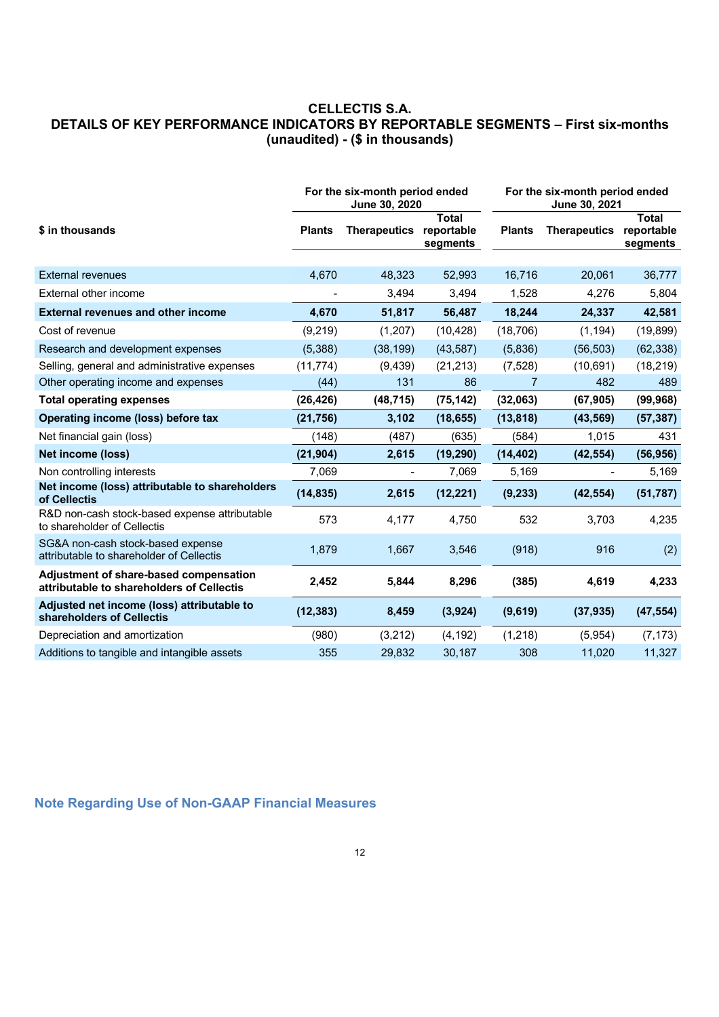# **CELLECTIS S.A. DETAILS OF KEY PERFORMANCE INDICATORS BY REPORTABLE SEGMENTS – First six-months (unaudited) - (\$ in thousands)**

|                                                                                     | For the six-month period ended<br>June 30, 2020 |                     | For the six-month period ended<br>June 30, 2021 |               |                     |                                        |
|-------------------------------------------------------------------------------------|-------------------------------------------------|---------------------|-------------------------------------------------|---------------|---------------------|----------------------------------------|
| \$ in thousands                                                                     | <b>Plants</b>                                   | <b>Therapeutics</b> | <b>Total</b><br>reportable<br>segments          | <b>Plants</b> | <b>Therapeutics</b> | <b>Total</b><br>reportable<br>segments |
|                                                                                     |                                                 |                     |                                                 |               |                     |                                        |
| <b>External revenues</b>                                                            | 4,670                                           | 48,323              | 52,993                                          | 16,716        | 20,061              | 36,777                                 |
| External other income                                                               |                                                 | 3,494               | 3,494                                           | 1,528         | 4,276               | 5,804                                  |
| <b>External revenues and other income</b>                                           | 4,670                                           | 51,817              | 56,487                                          | 18,244        | 24,337              | 42,581                                 |
| Cost of revenue                                                                     | (9,219)                                         | (1, 207)            | (10, 428)                                       | (18, 706)     | (1, 194)            | (19, 899)                              |
| Research and development expenses                                                   | (5,388)                                         | (38, 199)           | (43, 587)                                       | (5,836)       | (56, 503)           | (62, 338)                              |
| Selling, general and administrative expenses                                        | (11, 774)                                       | (9, 439)            | (21, 213)                                       | (7, 528)      | (10, 691)           | (18, 219)                              |
| Other operating income and expenses                                                 | (44)                                            | 131                 | 86                                              | 7             | 482                 | 489                                    |
| <b>Total operating expenses</b>                                                     | (26, 426)                                       | (48, 715)           | (75, 142)                                       | (32,063)      | (67, 905)           | (99, 968)                              |
| Operating income (loss) before tax                                                  | (21, 756)                                       | 3,102               | (18, 655)                                       | (13, 818)     | (43, 569)           | (57, 387)                              |
| Net financial gain (loss)                                                           | (148)                                           | (487)               | (635)                                           | (584)         | 1,015               | 431                                    |
| Net income (loss)                                                                   | (21, 904)                                       | 2,615               | (19, 290)                                       | (14, 402)     | (42, 554)           | (56, 956)                              |
| Non controlling interests                                                           | 7,069                                           |                     | 7,069                                           | 5,169         |                     | 5,169                                  |
| Net income (loss) attributable to shareholders<br>of Cellectis                      | (14, 835)                                       | 2,615               | (12, 221)                                       | (9, 233)      | (42, 554)           | (51, 787)                              |
| R&D non-cash stock-based expense attributable<br>to shareholder of Cellectis        | 573                                             | 4,177               | 4,750                                           | 532           | 3,703               | 4,235                                  |
| SG&A non-cash stock-based expense<br>attributable to shareholder of Cellectis       | 1,879                                           | 1,667               | 3,546                                           | (918)         | 916                 | (2)                                    |
| Adjustment of share-based compensation<br>attributable to shareholders of Cellectis | 2,452                                           | 5,844               | 8,296                                           | (385)         | 4,619               | 4,233                                  |
| Adjusted net income (loss) attributable to<br>shareholders of Cellectis             | (12, 383)                                       | 8,459               | (3,924)                                         | (9,619)       | (37, 935)           | (47, 554)                              |
| Depreciation and amortization                                                       | (980)                                           | (3,212)             | (4, 192)                                        | (1,218)       | (5,954)             | (7, 173)                               |
| Additions to tangible and intangible assets                                         | 355                                             | 29,832              | 30,187                                          | 308           | 11,020              | 11,327                                 |

**Note Regarding Use of Non-GAAP Financial Measures**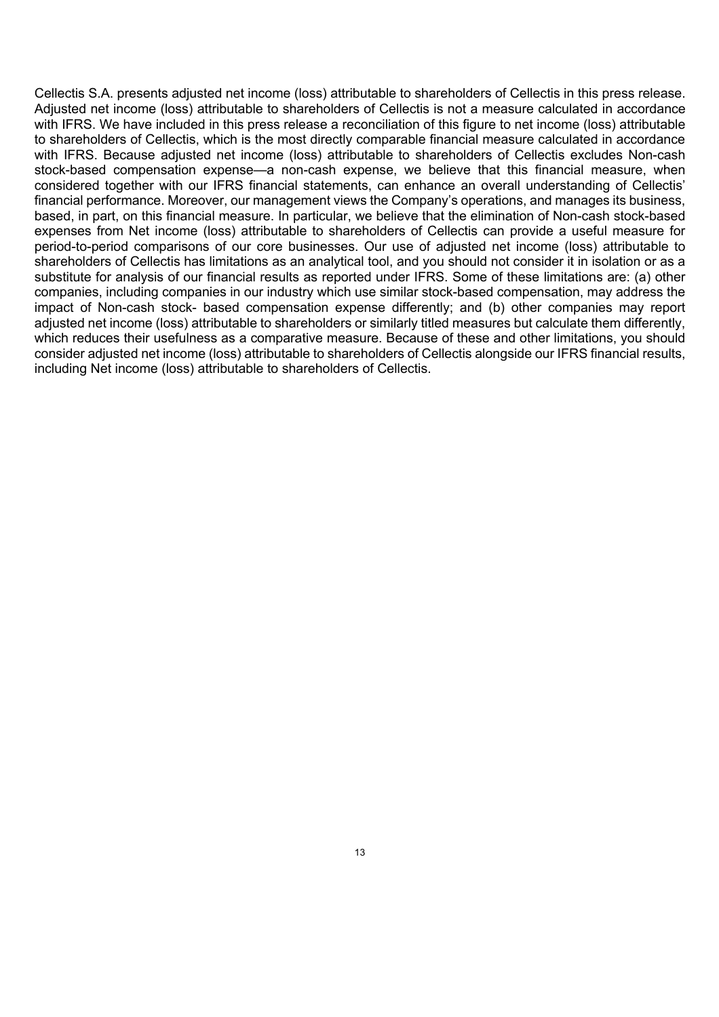Cellectis S.A. presents adjusted net income (loss) attributable to shareholders of Cellectis in this press release. Adjusted net income (loss) attributable to shareholders of Cellectis is not a measure calculated in accordance with IFRS. We have included in this press release a reconciliation of this figure to net income (loss) attributable to shareholders of Cellectis, which is the most directly comparable financial measure calculated in accordance with IFRS. Because adjusted net income (loss) attributable to shareholders of Cellectis excludes Non-cash stock-based compensation expense—a non-cash expense, we believe that this financial measure, when considered together with our IFRS financial statements, can enhance an overall understanding of Cellectis' financial performance. Moreover, our management views the Company's operations, and manages its business, based, in part, on this financial measure. In particular, we believe that the elimination of Non-cash stock-based expenses from Net income (loss) attributable to shareholders of Cellectis can provide a useful measure for period-to-period comparisons of our core businesses. Our use of adjusted net income (loss) attributable to shareholders of Cellectis has limitations as an analytical tool, and you should not consider it in isolation or as a substitute for analysis of our financial results as reported under IFRS. Some of these limitations are: (a) other companies, including companies in our industry which use similar stock-based compensation, may address the impact of Non-cash stock- based compensation expense differently; and (b) other companies may report adjusted net income (loss) attributable to shareholders or similarly titled measures but calculate them differently, which reduces their usefulness as a comparative measure. Because of these and other limitations, you should consider adjusted net income (loss) attributable to shareholders of Cellectis alongside our IFRS financial results, including Net income (loss) attributable to shareholders of Cellectis.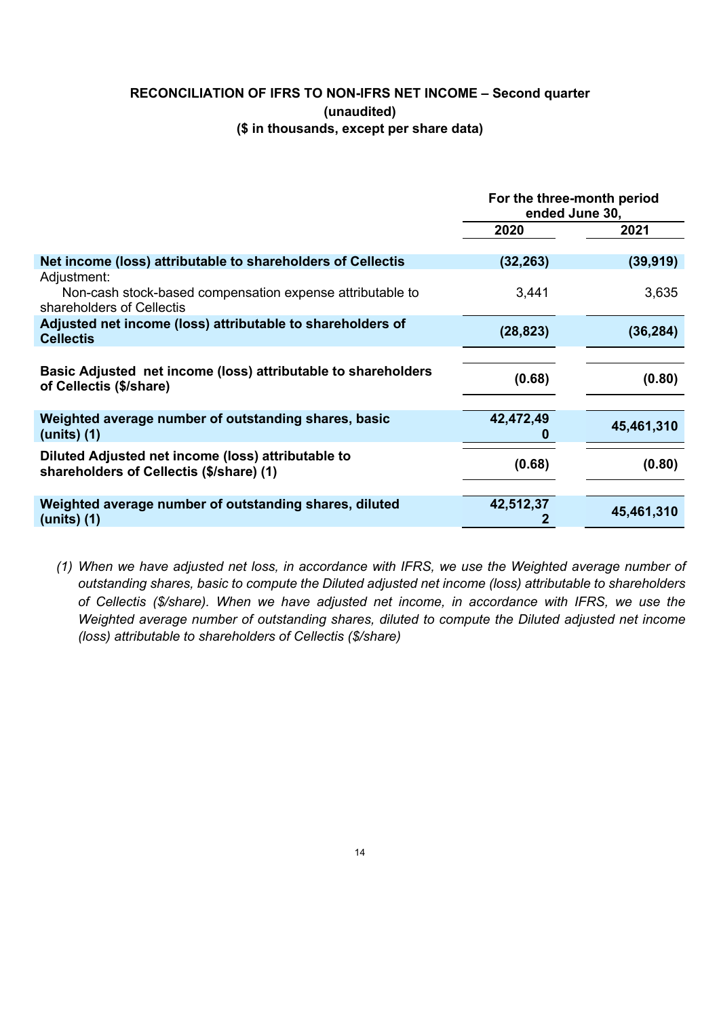# **RECONCILIATION OF IFRS TO NON-IFRS NET INCOME – Second quarter (unaudited) (\$ in thousands, except per share data)**

|                                                                                                       | For the three-month period<br>ended June 30, |            |
|-------------------------------------------------------------------------------------------------------|----------------------------------------------|------------|
|                                                                                                       | 2020                                         | 2021       |
| Net income (loss) attributable to shareholders of Cellectis                                           | (32, 263)                                    | (39, 919)  |
| Adjustment:<br>Non-cash stock-based compensation expense attributable to<br>shareholders of Cellectis | 3,441                                        | 3,635      |
| Adjusted net income (loss) attributable to shareholders of<br><b>Cellectis</b>                        | (28, 823)                                    | (36, 284)  |
| Basic Adjusted net income (loss) attributable to shareholders<br>of Cellectis (\$/share)              | (0.68)                                       | (0.80)     |
| Weighted average number of outstanding shares, basic<br>$(units)$ (1)                                 | 42,472,49                                    | 45,461,310 |
| Diluted Adjusted net income (loss) attributable to<br>shareholders of Cellectis (\$/share) (1)        | (0.68)                                       | (0.80)     |
| Weighted average number of outstanding shares, diluted<br>$(units)$ $(1)$                             | 42,512,37                                    | 45,461,310 |
|                                                                                                       |                                              |            |

*(1) When we have adjusted net loss, in accordance with IFRS, we use the Weighted average number of outstanding shares, basic to compute the Diluted adjusted net income (loss) attributable to shareholders of Cellectis (\$/share). When we have adjusted net income, in accordance with IFRS, we use the Weighted average number of outstanding shares, diluted to compute the Diluted adjusted net income (loss) attributable to shareholders of Cellectis (\$/share)*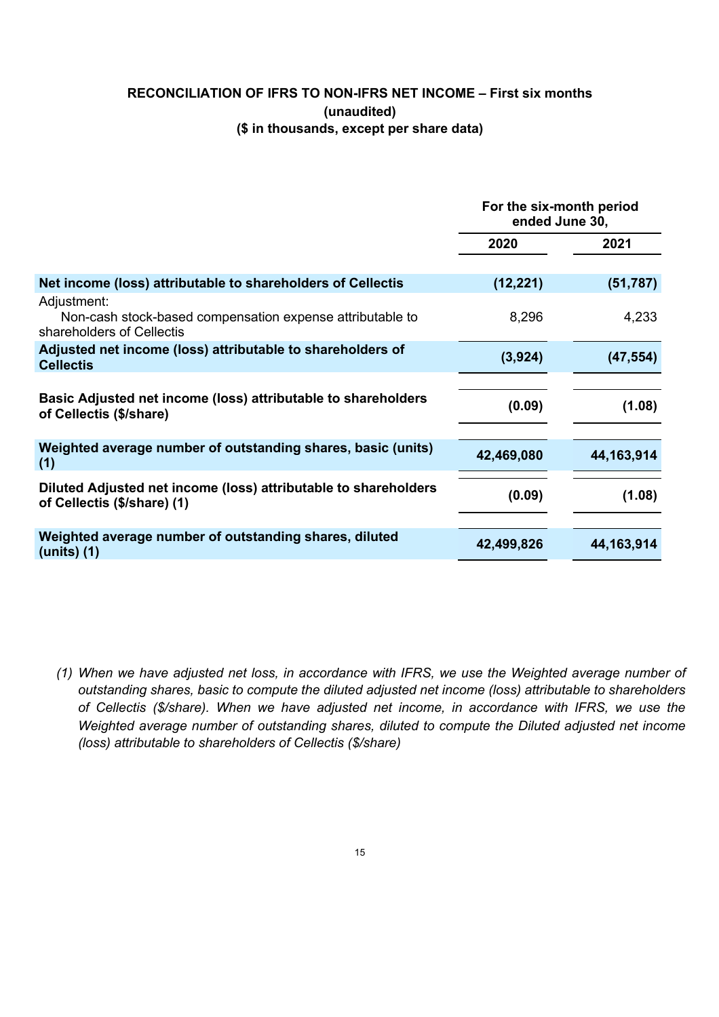# **RECONCILIATION OF IFRS TO NON-IFRS NET INCOME – First six months (unaudited) (\$ in thousands, except per share data)**

|                                                                                                       | For the six-month period<br>ended June 30, |              |
|-------------------------------------------------------------------------------------------------------|--------------------------------------------|--------------|
|                                                                                                       | 2020                                       | 2021         |
| Net income (loss) attributable to shareholders of Cellectis                                           | (12, 221)                                  | (51, 787)    |
| Adjustment:<br>Non-cash stock-based compensation expense attributable to<br>shareholders of Cellectis | 8,296                                      | 4,233        |
| Adjusted net income (loss) attributable to shareholders of<br><b>Cellectis</b>                        | (3,924)                                    | (47, 554)    |
| Basic Adjusted net income (loss) attributable to shareholders<br>of Cellectis (\$/share)              | (0.09)                                     | (1.08)       |
| Weighted average number of outstanding shares, basic (units)<br>(1)                                   | 42,469,080                                 | 44, 163, 914 |
| Diluted Adjusted net income (loss) attributable to shareholders<br>of Cellectis (\$/share) (1)        | (0.09)                                     | (1.08)       |
| Weighted average number of outstanding shares, diluted<br>$(units)$ $(1)$                             | 42,499,826                                 | 44, 163, 914 |

*(1) When we have adjusted net loss, in accordance with IFRS, we use the Weighted average number of outstanding shares, basic to compute the diluted adjusted net income (loss) attributable to shareholders of Cellectis (\$/share). When we have adjusted net income, in accordance with IFRS, we use the Weighted average number of outstanding shares, diluted to compute the Diluted adjusted net income (loss) attributable to shareholders of Cellectis (\$/share)*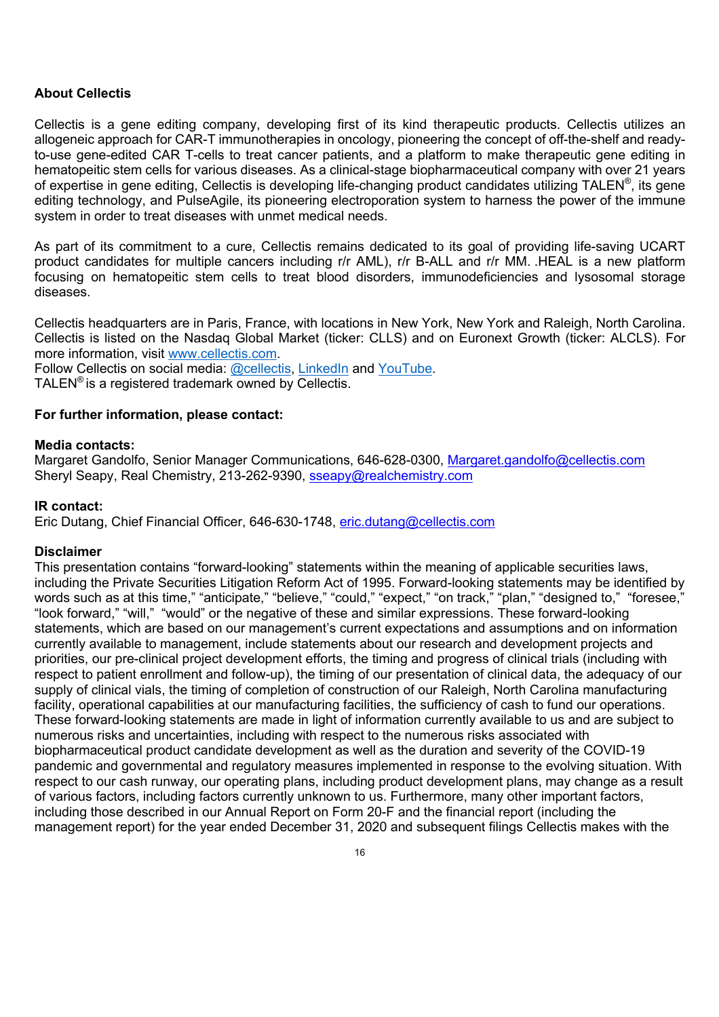## **About Cellectis**

Cellectis is a gene editing company, developing first of its kind therapeutic products. Cellectis utilizes an allogeneic approach for CAR-T immunotherapies in oncology, pioneering the concept of off-the-shelf and readyto-use gene-edited CAR T-cells to treat cancer patients, and a platform to make therapeutic gene editing in hematopeitic stem cells for various diseases. As a clinical-stage biopharmaceutical company with over 21 years of expertise in gene editing, Cellectis is developing life-changing product candidates utilizing TALEN®, its gene editing technology, and PulseAgile, its pioneering electroporation system to harness the power of the immune system in order to treat diseases with unmet medical needs.

As part of its commitment to a cure, Cellectis remains dedicated to its goal of providing life-saving UCART product candidates for multiple cancers including r/r AML), r/r B-ALL and r/r MM. .HEAL is a new platform focusing on hematopeitic stem cells to treat blood disorders, immunodeficiencies and lysosomal storage diseases.

Cellectis headquarters are in Paris, France, with locations in New York, New York and Raleigh, North Carolina. Cellectis is listed on the Nasdaq Global Market (ticker: CLLS) and on Euronext Growth (ticker: ALCLS). For more information, visit www.cellectis.com.

Follow Cellectis on social media: @cellectis, LinkedIn and YouTube. TALEN® is a registered trademark owned by Cellectis.

#### **For further information, please contact:**

#### **Media contacts:**

Margaret Gandolfo, Senior Manager Communications, 646-628-0300, Margaret.gandolfo@cellectis.com Sheryl Seapy, Real Chemistry, 213-262-9390, sseapy@realchemistry.com

#### **IR contact:**

Eric Dutang, Chief Financial Officer, 646-630-1748, eric.dutang@cellectis.com

#### **Disclaimer**

This presentation contains "forward-looking" statements within the meaning of applicable securities laws, including the Private Securities Litigation Reform Act of 1995. Forward-looking statements may be identified by words such as at this time," "anticipate," "believe," "could," "expect," "on track," "plan," "designed to," "foresee," "look forward," "will," "would" or the negative of these and similar expressions. These forward-looking statements, which are based on our management's current expectations and assumptions and on information currently available to management, include statements about our research and development projects and priorities, our pre-clinical project development efforts, the timing and progress of clinical trials (including with respect to patient enrollment and follow-up), the timing of our presentation of clinical data, the adequacy of our supply of clinical vials, the timing of completion of construction of our Raleigh, North Carolina manufacturing facility, operational capabilities at our manufacturing facilities, the sufficiency of cash to fund our operations. These forward-looking statements are made in light of information currently available to us and are subject to numerous risks and uncertainties, including with respect to the numerous risks associated with biopharmaceutical product candidate development as well as the duration and severity of the COVID-19 pandemic and governmental and regulatory measures implemented in response to the evolving situation. With respect to our cash runway, our operating plans, including product development plans, may change as a result of various factors, including factors currently unknown to us. Furthermore, many other important factors, including those described in our Annual Report on Form 20-F and the financial report (including the management report) for the year ended December 31, 2020 and subsequent filings Cellectis makes with the